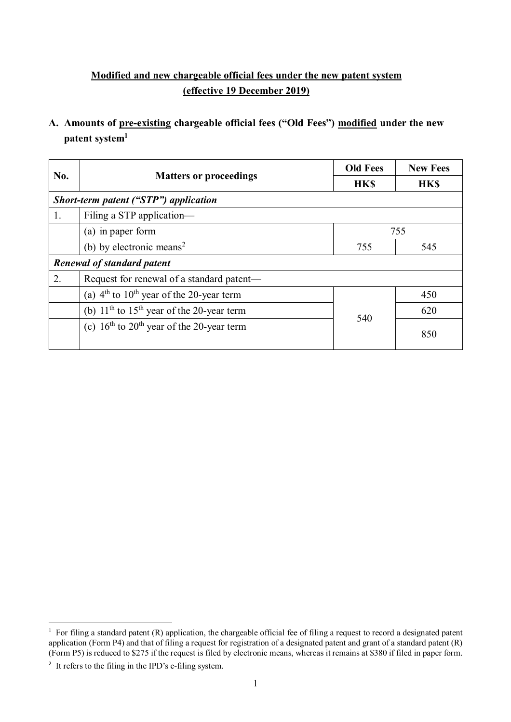## **Modified and new chargeable official fees under the new patent system (effective 19 December 2019)**

## **A. Amounts of pre-existing chargeable official fees ("Old Fees") modified under the new patent system<sup>1</sup>**

| No. | <b>Matters or proceedings</b>                 | <b>Old Fees</b> | <b>New Fees</b> |  |  |
|-----|-----------------------------------------------|-----------------|-----------------|--|--|
|     |                                               | <b>HKS</b>      | <b>HKS</b>      |  |  |
|     | Short-term patent ("STP") application         |                 |                 |  |  |
| 1.  | Filing a STP application-                     |                 |                 |  |  |
|     | (a) in paper form                             |                 | 755             |  |  |
|     | (b) by electronic means <sup>2</sup>          | 755             | 545             |  |  |
|     | <b>Renewal of standard patent</b>             |                 |                 |  |  |
| 2.  | Request for renewal of a standard patent—     |                 |                 |  |  |
|     | (a) $4th$ to $10th$ year of the 20-year term  |                 | 450             |  |  |
|     | (b) $11th$ to $15th$ year of the 20-year term | 540             | 620             |  |  |
|     | (c) $16th$ to $20th$ year of the 20-year term |                 | 850             |  |  |

 $\overline{a}$ <sup>1</sup> For filing a standard patent  $(R)$  application, the chargeable official fee of filing a request to record a designated patent application (Form P4) and that of filing a request for registration of a designated patent and grant of a standard patent  $(R)$ (Form P5) is reduced to \$275 if the request is filed by electronic means, whereas it remains at \$380 if filed in paper form.

<sup>&</sup>lt;sup>2</sup> It refers to the filing in the IPD's e-filing system.